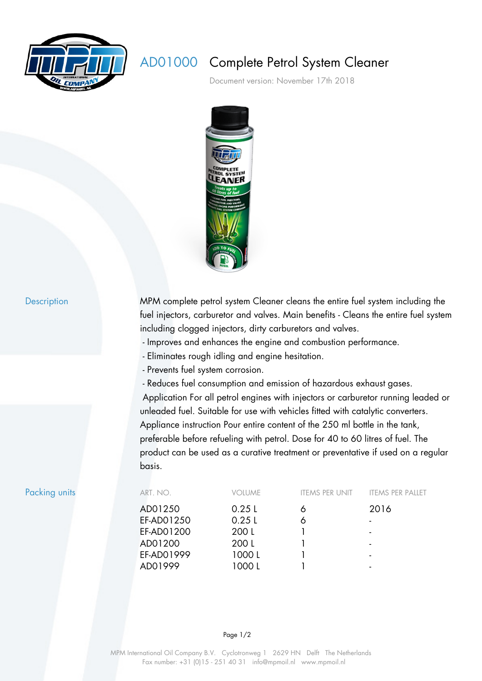

## AD01000 Complete Petrol System Cleaner

Document version: November 17th 2018



Description MPM complete petrol system Cleaner cleans the entire fuel system including the fuel injectors, carburetor and valves. Main benefits - Cleans the entire fuel system including clogged injectors, dirty carburetors and valves.

- Improves and enhances the engine and combustion performance.
- Eliminates rough idling and engine hesitation.
- Prevents fuel system corrosion.
- Reduces fuel consumption and emission of hazardous exhaust gases.

 Application For all petrol engines with injectors or carburetor running leaded or unleaded fuel. Suitable for use with vehicles fitted with catalytic converters. Appliance instruction Pour entire content of the 250 ml bottle in the tank, preferable before refueling with petrol. Dose for 40 to 60 litres of fuel. The product can be used as a curative treatment or preventative if used on a regular basis.

| Packing units | ART. NO.   | <b>VOLUME</b> | <b>ITEMS PER UNIT</b> | <b>ITEMS PER PALLET</b>  |
|---------------|------------|---------------|-----------------------|--------------------------|
|               | AD01250    | 0.25L         | Ô                     | 2016                     |
|               | EF-AD01250 | 0.25L         | Ô                     | $\overline{\phantom{a}}$ |
|               | EF-AD01200 | 200 L         |                       | $\blacksquare$           |
|               | AD01200    | 200 L         |                       | $\blacksquare$           |
|               | EF-AD01999 | 1000L         |                       | $\blacksquare$           |
|               | AD01999    | 1000 L        |                       |                          |

## Page 1/2